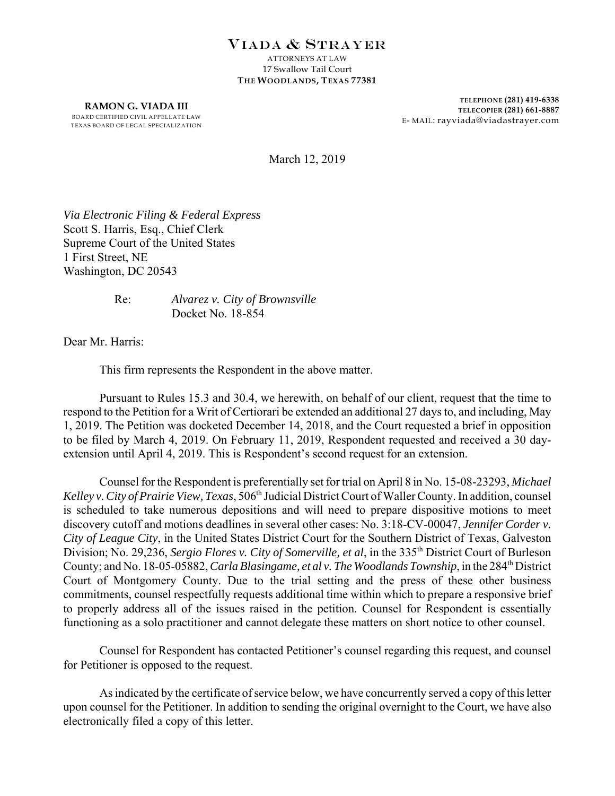## VIADA & STRAYER

ATTORNEYS AT LAW 17 Swallow Tail Court **THE WOODLANDS, TEXAS 77381**

**RAMON G. VIADA III** BOARD CERTIFIED CIVIL APPELLATE LAW TEXAS BOARD OF LEGAL SPECIALIZATION

**TELEPHONE (281) 419-6338 TELECOPIER (281) 661-8887** E- MAIL: rayviada@viadastrayer.com

March 12, 2019

*Via Electronic Filing & Federal Express* Scott S. Harris, Esq., Chief Clerk Supreme Court of the United States 1 First Street, NE Washington, DC 20543

> Re: *Alvarez v. City of Brownsville* Docket No. 18-854

Dear Mr. Harris:

This firm represents the Respondent in the above matter.

Pursuant to Rules 15.3 and 30.4, we herewith, on behalf of our client, request that the time to respond to the Petition for a Writ of Certiorari be extended an additional 27 days to, and including, May 1, 2019. The Petition was docketed December 14, 2018, and the Court requested a brief in opposition to be filed by March 4, 2019. On February 11, 2019, Respondent requested and received a 30 dayextension until April 4, 2019. This is Respondent's second request for an extension.

Counsel for the Respondent is preferentially set for trial on April 8 in No. 15-08-23293, *Michael* Kelley v. City of Prairie View, Texas, 506<sup>th</sup> Judicial District Court of Waller County. In addition, counsel is scheduled to take numerous depositions and will need to prepare dispositive motions to meet discovery cutoff and motions deadlines in several other cases: No. 3:18-CV-00047, *Jennifer Corder v. City of League City*, in the United States District Court for the Southern District of Texas, Galveston Division; No. 29,236, *Sergio Flores v. City of Somerville, et al*, in the 335<sup>th</sup> District Court of Burleson County; and No. 18-05-05882, *Carla Blasingame, et al v. The Woodlands Township*, in the 284th District Court of Montgomery County. Due to the trial setting and the press of these other business commitments, counsel respectfully requests additional time within which to prepare a responsive brief to properly address all of the issues raised in the petition. Counsel for Respondent is essentially functioning as a solo practitioner and cannot delegate these matters on short notice to other counsel.

Counsel for Respondent has contacted Petitioner's counsel regarding this request, and counsel for Petitioner is opposed to the request.

As indicated by the certificate of service below, we have concurrently served a copy of this letter upon counsel for the Petitioner. In addition to sending the original overnight to the Court, we have also electronically filed a copy of this letter.